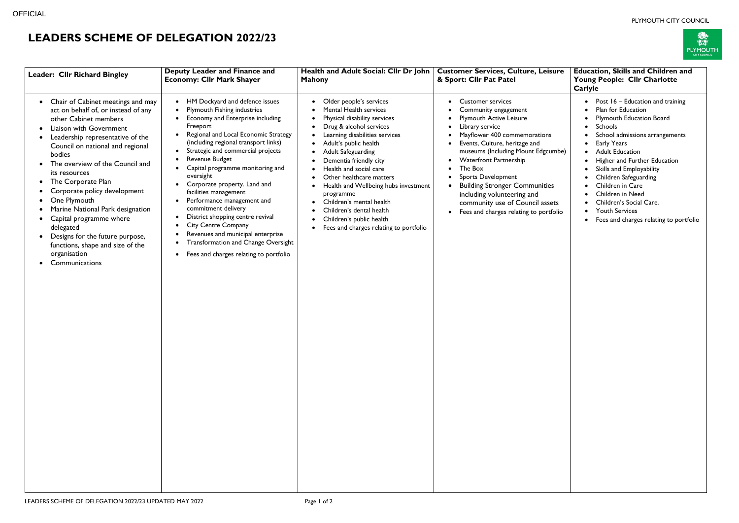## PLYMOUTH CITY COUNCIL



## **LEADERS SCHEME OF DELEGATION 2022/23**

| Leader: Cllr Richard Bingley                                                                                                                                                                                                                                                                                                                                                                                                                                                                                                               | <b>Deputy Leader and Finance and</b><br>Health and Adult Social: Cllr Dr John<br><b>Economy: Cllr Mark Shayer</b><br><b>Mahony</b>                                                                                                                                                                                                                                                                                                                                                                                                                                                                                                                                |                                                                                                                                                                                                                                                                                                                                                                                                                                                                                | <b>Customer Services, Culture, Leisure</b><br>& Sport: Cllr Pat Patel                                                                                                                                                                                                                                                                                                                                                                                                                                                                                                   |  |
|--------------------------------------------------------------------------------------------------------------------------------------------------------------------------------------------------------------------------------------------------------------------------------------------------------------------------------------------------------------------------------------------------------------------------------------------------------------------------------------------------------------------------------------------|-------------------------------------------------------------------------------------------------------------------------------------------------------------------------------------------------------------------------------------------------------------------------------------------------------------------------------------------------------------------------------------------------------------------------------------------------------------------------------------------------------------------------------------------------------------------------------------------------------------------------------------------------------------------|--------------------------------------------------------------------------------------------------------------------------------------------------------------------------------------------------------------------------------------------------------------------------------------------------------------------------------------------------------------------------------------------------------------------------------------------------------------------------------|-------------------------------------------------------------------------------------------------------------------------------------------------------------------------------------------------------------------------------------------------------------------------------------------------------------------------------------------------------------------------------------------------------------------------------------------------------------------------------------------------------------------------------------------------------------------------|--|
| Chair of Cabinet meetings and may<br>$\bullet$<br>act on behalf of, or instead of any<br>other Cabinet members<br>Liaison with Government<br>Leadership representative of the<br>Council on national and regional<br>bodies<br>The overview of the Council and<br>its resources<br>The Corporate Plan<br>Corporate policy development<br>One Plymouth<br>Marine National Park designation<br>Capital programme where<br>delegated<br>Designs for the future purpose,<br>functions, shape and size of the<br>organisation<br>Communications | HM Dockyard and defence issues<br>$\bullet$<br>Plymouth Fishing industries<br>Economy and Enterprise including<br>Freeport<br>Regional and Local Economic Strategy<br>(including regional transport links)<br>Strategic and commercial projects<br>Revenue Budget<br>Capital programme monitoring and<br>٠<br>oversight<br>Corporate property. Land and<br>facilities management<br>Performance management and<br>٠<br>commitment delivery<br>District shopping centre revival<br>$\bullet$<br><b>City Centre Company</b><br>Revenues and municipal enterprise<br>Transformation and Change Oversight<br>٠<br>Fees and charges relating to portfolio<br>$\bullet$ | Older people's services<br><b>Mental Health services</b><br>Physical disability services<br>Drug & alcohol services<br>Learning disabilities services<br>Adult's public health<br><b>Adult Safeguarding</b><br>Dementia friendly city<br>Health and social care<br>Other healthcare matters<br>Health and Wellbeing hubs investment<br>programme<br>Children's mental health<br>Children's dental health<br>Children's public health<br>Fees and charges relating to portfolio | <b>Customer services</b><br>$\bullet$<br>Community engagement<br>٠<br><b>Plymouth Active Leisure</b><br>٠<br>Library service<br>$\bullet$<br>Mayflower 400 commemorations<br>$\bullet$<br>Events, Culture, heritage and<br>$\bullet$<br>museums (Including Mount Edgcumbe)<br><b>Waterfront Partnership</b><br>$\bullet$<br>The Box<br>$\bullet$<br><b>Sports Development</b><br>$\bullet$<br><b>Building Stronger Communities</b><br>$\bullet$<br>including volunteering and<br>community use of Council assets<br>Fees and charges relating to portfolio<br>$\bullet$ |  |

| re       | <b>Education, Skills and Children and</b><br>Young People: Cllr Charlotte<br><b>Carlyle</b>                                                                        |  |  |  |  |  |
|----------|--------------------------------------------------------------------------------------------------------------------------------------------------------------------|--|--|--|--|--|
|          | Post 16 - Education and training<br>Plan for Education<br><b>Plymouth Education Board</b><br><b>Schools</b><br>School admissions arrangements                      |  |  |  |  |  |
| be)      | Early Years<br><b>Adult Education</b><br>Higher and Further Education<br>Skills and Employability<br>Children Safeguarding<br>Children in Care<br>Children in Need |  |  |  |  |  |
| S<br>lio | Children's Social Care.<br><b>Youth Services</b>                                                                                                                   |  |  |  |  |  |
|          | Fees and charges relating to portfolio                                                                                                                             |  |  |  |  |  |
|          |                                                                                                                                                                    |  |  |  |  |  |